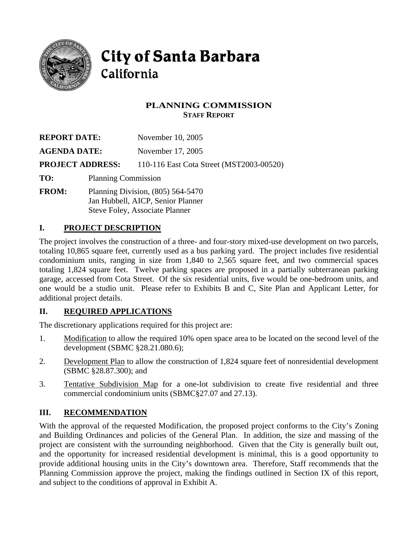

# **City of Santa Barbara** California

# **PLANNING COMMISSION STAFF REPORT**

| <b>REPORT DATE:</b>     |                            | November 10, 2005                        |
|-------------------------|----------------------------|------------------------------------------|
| <b>AGENDA DATE:</b>     |                            | November 17, 2005                        |
|                         | <b>PROJECT ADDRESS:</b>    | 110-116 East Cota Street (MST2003-00520) |
| TO:                     | <b>Planning Commission</b> |                                          |
| $F_{\rm I}$ ROM $\cdot$ |                            | Planning Division (805) 564.5470         |

**FROM:** Planning Division, (805) 564-5470 Jan Hubbell, AICP, Senior Planner Steve Foley, Associate Planner

# **I. PROJECT DESCRIPTION**

The project involves the construction of a three- and four-story mixed-use development on two parcels, totaling 10,865 square feet, currently used as a bus parking yard. The project includes five residential condominium units, ranging in size from 1,840 to 2,565 square feet, and two commercial spaces totaling 1,824 square feet. Twelve parking spaces are proposed in a partially subterranean parking garage, accessed from Cota Street. Of the six residential units, five would be one-bedroom units, and one would be a studio unit. Please refer to Exhibits B and C, Site Plan and Applicant Letter, for additional project details.

# **II. REQUIRED APPLICATIONS**

The discretionary applications required for this project are:

- 1. Modification to allow the required 10% open space area to be located on the second level of the development (SBMC §28.21.080.6);
- 2. Development Plan to allow the construction of 1,824 square feet of nonresidential development (SBMC §28.87.300); and
- 3. Tentative Subdivision Map for a one-lot subdivision to create five residential and three commercial condominium units (SBMC§27.07 and 27.13).

# **III. RECOMMENDATION**

With the approval of the requested Modification, the proposed project conforms to the City's Zoning and Building Ordinances and policies of the General Plan. In addition, the size and massing of the project are consistent with the surrounding neighborhood. Given that the City is generally built out, and the opportunity for increased residential development is minimal, this is a good opportunity to provide additional housing units in the City's downtown area. Therefore, Staff recommends that the Planning Commission approve the project, making the findings outlined in Section IX of this report, and subject to the conditions of approval in Exhibit A.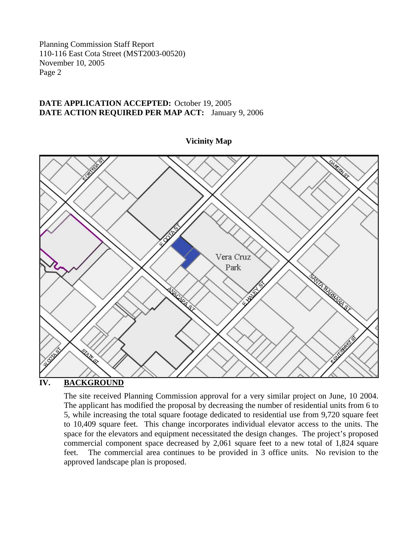#### **DATE APPLICATION ACCEPTED:** October 19, 2005 **DATE ACTION REQUIRED PER MAP ACT:** January 9, 2006



**Vicinity Map** 

**IV. BACKGROUND**

The site received Planning Commission approval for a very similar project on June, 10 2004. The applicant has modified the proposal by decreasing the number of residential units from 6 to 5, while increasing the total square footage dedicated to residential use from 9,720 square feet to 10,409 square feet. This change incorporates individual elevator access to the units. The space for the elevators and equipment necessitated the design changes. The project's proposed commercial component space decreased by 2,061 square feet to a new total of 1,824 square feet. The commercial area continues to be provided in 3 office units. No revision to the approved landscape plan is proposed.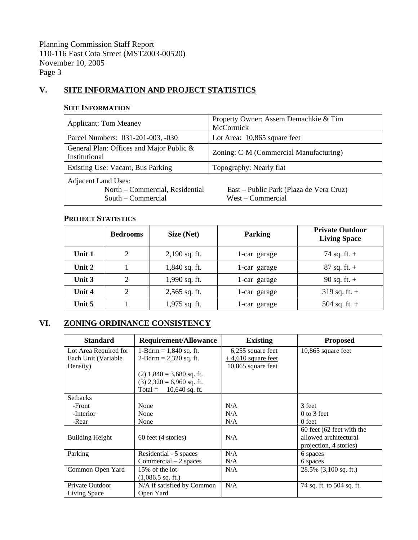## **V. SITE INFORMATION AND PROJECT STATISTICS**

#### **SITE INFORMATION**

| <b>Applicant: Tom Meaney</b>                                                        | Property Owner: Assem Demachkie & Tim<br>McCormick           |  |  |
|-------------------------------------------------------------------------------------|--------------------------------------------------------------|--|--|
| Parcel Numbers: 031-201-003, -030                                                   | Lot Area: 10,865 square feet                                 |  |  |
| General Plan: Offices and Major Public &<br>Institutional                           | Zoning: C-M (Commercial Manufacturing)                       |  |  |
| Existing Use: Vacant, Bus Parking                                                   | Topography: Nearly flat                                      |  |  |
| <b>Adjacent Land Uses:</b><br>North – Commercial, Residential<br>South – Commercial | East – Public Park (Plaza de Vera Cruz)<br>West - Commercial |  |  |

#### **PROJECT STATISTICS**

|          | <b>Bedrooms</b> | Size (Net)      | <b>Parking</b> | <b>Private Outdoor</b><br><b>Living Space</b> |
|----------|-----------------|-----------------|----------------|-----------------------------------------------|
| Unit 1   | 2               | $2,190$ sq. ft. | 1-car garage   | 74 sq. ft. $+$                                |
| Unit $2$ |                 | $1,840$ sq. ft. | 1-car garage   | $87$ sq. ft. +                                |
| Unit $3$ | $\overline{2}$  | 1,990 sq. ft.   | 1-car garage   | 90 sq. ft. $+$                                |
| Unit 4   | 2               | $2,565$ sq. ft. | 1-car garage   | 319 sq. ft. $+$                               |
| Unit 5   |                 | $1,975$ sq. ft. | 1-car garage   | 504 sq. ft. $+$                               |

# **VI. ZONING ORDINANCE CONSISTENCY**

| <b>Standard</b>        | <b>Requirement/Allowance</b> | <b>Existing</b>      | <b>Proposed</b>           |
|------------------------|------------------------------|----------------------|---------------------------|
| Lot Area Required for  | 1-Bdrm = $1,840$ sq. ft.     | 6,255 square feet    | 10,865 square feet        |
| Each Unit (Variable    | $2-Bdrm = 2,320$ sq. ft.     | $+4,610$ square feet |                           |
| Density)               |                              | 10,865 square feet   |                           |
|                        | $(2)$ 1,840 = 3,680 sq. ft.  |                      |                           |
|                        | $(3)$ 2,320 = 6,960 sq. ft.  |                      |                           |
|                        | $Total =$<br>10,640 sq. ft.  |                      |                           |
| <b>Setbacks</b>        |                              |                      |                           |
| -Front                 | None                         | N/A                  | 3 feet                    |
| -Interior              | None                         | N/A                  | $0$ to 3 feet             |
| -Rear                  | None                         | N/A                  | 0 feet                    |
|                        |                              |                      | 60 feet (62 feet with the |
| <b>Building Height</b> | 60 feet (4 stories)          | N/A                  | allowed architectural     |
|                        |                              |                      | projection, 4 stories)    |
| Parking                | Residential - 5 spaces       | N/A                  | 6 spaces                  |
|                        | Commercial $-2$ spaces       | N/A                  | 6 spaces                  |
| Common Open Yard       | 15% of the lot               | N/A                  | $28.5\%$ (3,100 sq. ft.)  |
|                        | $(1,086.5 \text{ sq. ft.})$  |                      |                           |
| Private Outdoor        | N/A if satisfied by Common   | N/A                  | 74 sq. ft. to 504 sq. ft. |
| Living Space           | Open Yard                    |                      |                           |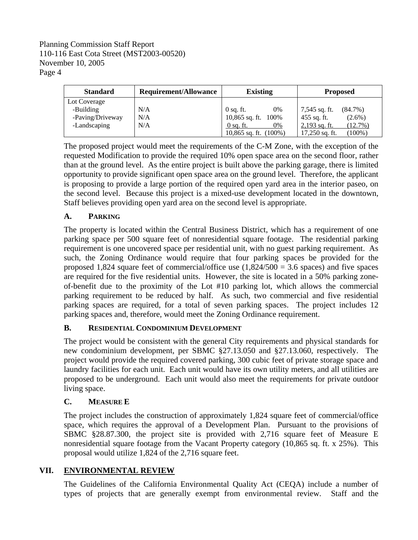| <b>Standard</b>  | Requirement/Allowance | <b>Existing</b>          | <b>Proposed</b>               |
|------------------|-----------------------|--------------------------|-------------------------------|
| Lot Coverage     |                       |                          |                               |
| -Building        | N/A                   | 0%<br>$0$ sq. ft.        | 7,545 sq. ft.<br>$(84.7\%)$   |
| -Paving/Driveway | N/A                   | 10,865 sq. ft. 100%      | $455$ sq. ft.<br>$(2.6\%)$    |
| -Landscaping     | N/A                   | $0$ sq. ft.<br>0%        | $2,193$ sq. ft.<br>(12.7%)    |
|                  |                       | 10,865 sq. ft. $(100\%)$ | $(100\%)$<br>$17,250$ sq. ft. |

The proposed project would meet the requirements of the C-M Zone, with the exception of the requested Modification to provide the required 10% open space area on the second floor, rather than at the ground level. As the entire project is built above the parking garage, there is limited opportunity to provide significant open space area on the ground level. Therefore, the applicant is proposing to provide a large portion of the required open yard area in the interior paseo, on the second level. Because this project is a mixed-use development located in the downtown, Staff believes providing open yard area on the second level is appropriate.

# **A. PARKING**

The property is located within the Central Business District, which has a requirement of one parking space per 500 square feet of nonresidential square footage. The residential parking requirement is one uncovered space per residential unit, with no guest parking requirement. As such, the Zoning Ordinance would require that four parking spaces be provided for the proposed 1,824 square feet of commercial/office use  $(1,824/500 = 3.6$  spaces) and five spaces are required for the five residential units. However, the site is located in a 50% parking zoneof-benefit due to the proximity of the Lot #10 parking lot, which allows the commercial parking requirement to be reduced by half. As such, two commercial and five residential parking spaces are required, for a total of seven parking spaces. The project includes 12 parking spaces and, therefore, would meet the Zoning Ordinance requirement.

# **B. RESIDENTIAL CONDOMINIUM DEVELOPMENT**

The project would be consistent with the general City requirements and physical standards for new condominium development, per SBMC §27.13.050 and §27.13.060, respectively. The project would provide the required covered parking, 300 cubic feet of private storage space and laundry facilities for each unit. Each unit would have its own utility meters, and all utilities are proposed to be underground. Each unit would also meet the requirements for private outdoor living space.

# **C. MEASURE E**

The project includes the construction of approximately 1,824 square feet of commercial/office space, which requires the approval of a Development Plan. Pursuant to the provisions of SBMC §28.87.300, the project site is provided with 2,716 square feet of Measure E nonresidential square footage from the Vacant Property category (10,865 sq. ft. x 25%). This proposal would utilize 1,824 of the 2,716 square feet.

# **VII. ENVIRONMENTAL REVIEW**

The Guidelines of the California Environmental Quality Act (CEQA) include a number of types of projects that are generally exempt from environmental review. Staff and the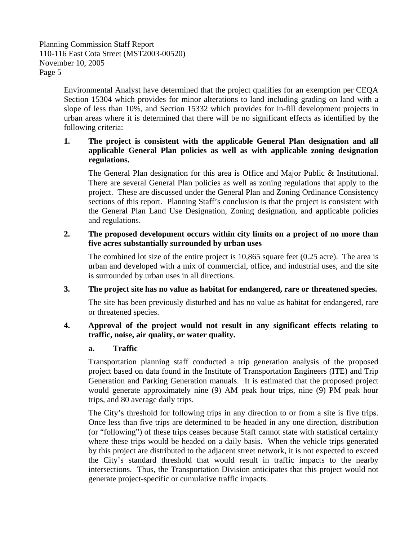> Environmental Analyst have determined that the project qualifies for an exemption per CEQA Section 15304 which provides for minor alterations to land including grading on land with a slope of less than 10%, and Section 15332 which provides for in-fill development projects in urban areas where it is determined that there will be no significant effects as identified by the following criteria:

## **1. The project is consistent with the applicable General Plan designation and all applicable General Plan policies as well as with applicable zoning designation regulations.**

 The General Plan designation for this area is Office and Major Public & Institutional. There are several General Plan policies as well as zoning regulations that apply to the project. These are discussed under the General Plan and Zoning Ordinance Consistency sections of this report. Planning Staff's conclusion is that the project is consistent with the General Plan Land Use Designation, Zoning designation, and applicable policies and regulations.

## **2. The proposed development occurs within city limits on a project of no more than five acres substantially surrounded by urban uses**

 The combined lot size of the entire project is 10,865 square feet (0.25 acre). The area is urban and developed with a mix of commercial, office, and industrial uses, and the site is surrounded by urban uses in all directions.

## **3. The project site has no value as habitat for endangered, rare or threatened species.**

 The site has been previously disturbed and has no value as habitat for endangered, rare or threatened species.

#### **4. Approval of the project would not result in any significant effects relating to traffic, noise, air quality, or water quality.**

#### **a. Traffic**

Transportation planning staff conducted a trip generation analysis of the proposed project based on data found in the Institute of Transportation Engineers (ITE) and Trip Generation and Parking Generation manuals. It is estimated that the proposed project would generate approximately nine (9) AM peak hour trips, nine (9) PM peak hour trips, and 80 average daily trips.

The City's threshold for following trips in any direction to or from a site is five trips. Once less than five trips are determined to be headed in any one direction, distribution (or "following") of these trips ceases because Staff cannot state with statistical certainty where these trips would be headed on a daily basis. When the vehicle trips generated by this project are distributed to the adjacent street network, it is not expected to exceed the City's standard threshold that would result in traffic impacts to the nearby intersections. Thus, the Transportation Division anticipates that this project would not generate project-specific or cumulative traffic impacts.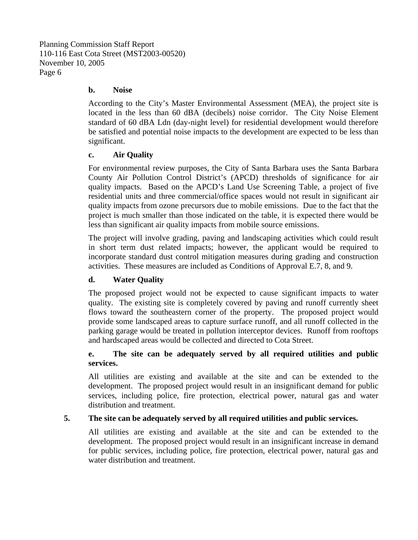#### **b. Noise**

According to the City's Master Environmental Assessment (MEA), the project site is located in the less than 60 dBA (decibels) noise corridor. The City Noise Element standard of 60 dBA Ldn (day-night level) for residential development would therefore be satisfied and potential noise impacts to the development are expected to be less than significant.

#### **c. Air Quality**

 For environmental review purposes, the City of Santa Barbara uses the Santa Barbara County Air Pollution Control District's (APCD) thresholds of significance for air quality impacts. Based on the APCD's Land Use Screening Table, a project of five residential units and three commercial/office spaces would not result in significant air quality impacts from ozone precursors due to mobile emissions. Due to the fact that the project is much smaller than those indicated on the table, it is expected there would be less than significant air quality impacts from mobile source emissions.

 The project will involve grading, paving and landscaping activities which could result in short term dust related impacts; however, the applicant would be required to incorporate standard dust control mitigation measures during grading and construction activities. These measures are included as Conditions of Approval E.7, 8, and 9.

## **d. Water Quality**

 The proposed project would not be expected to cause significant impacts to water quality. The existing site is completely covered by paving and runoff currently sheet flows toward the southeastern corner of the property. The proposed project would provide some landscaped areas to capture surface runoff, and all runoff collected in the parking garage would be treated in pollution interceptor devices. Runoff from rooftops and hardscaped areas would be collected and directed to Cota Street.

## **e. The site can be adequately served by all required utilities and public services.**

 All utilities are existing and available at the site and can be extended to the development. The proposed project would result in an insignificant demand for public services, including police, fire protection, electrical power, natural gas and water distribution and treatment.

## **5. The site can be adequately served by all required utilities and public services.**

All utilities are existing and available at the site and can be extended to the development. The proposed project would result in an insignificant increase in demand for public services, including police, fire protection, electrical power, natural gas and water distribution and treatment.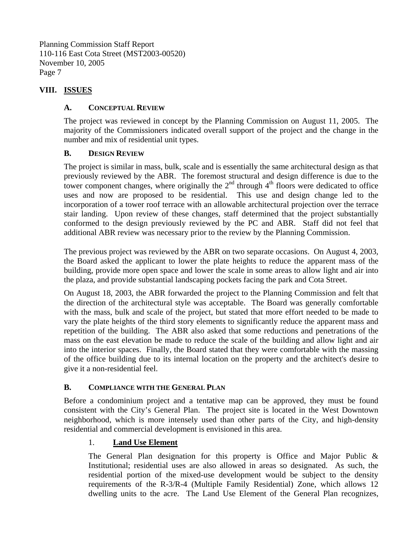## **VIII. ISSUES**

## **A. CONCEPTUAL REVIEW**

The project was reviewed in concept by the Planning Commission on August 11, 2005. The majority of the Commissioners indicated overall support of the project and the change in the number and mix of residential unit types.

## **B. DESIGN REVIEW**

The project is similar in mass, bulk, scale and is essentially the same architectural design as that previously reviewed by the ABR. The foremost structural and design difference is due to the tower component changes, where originally the  $2<sup>nd</sup>$  through  $4<sup>th</sup>$  floors were dedicated to office uses and now are proposed to be residential. This use and design change led to the incorporation of a tower roof terrace with an allowable architectural projection over the terrace stair landing. Upon review of these changes, staff determined that the project substantially conformed to the design previously reviewed by the PC and ABR. Staff did not feel that additional ABR review was necessary prior to the review by the Planning Commission.

The previous project was reviewed by the ABR on two separate occasions. On August 4, 2003, the Board asked the applicant to lower the plate heights to reduce the apparent mass of the building, provide more open space and lower the scale in some areas to allow light and air into the plaza, and provide substantial landscaping pockets facing the park and Cota Street.

On August 18, 2003, the ABR forwarded the project to the Planning Commission and felt that the direction of the architectural style was acceptable. The Board was generally comfortable with the mass, bulk and scale of the project, but stated that more effort needed to be made to vary the plate heights of the third story elements to significantly reduce the apparent mass and repetition of the building. The ABR also asked that some reductions and penetrations of the mass on the east elevation be made to reduce the scale of the building and allow light and air into the interior spaces. Finally, the Board stated that they were comfortable with the massing of the office building due to its internal location on the property and the architect's desire to give it a non-residential feel.

## **B. COMPLIANCE WITH THE GENERAL PLAN**

Before a condominium project and a tentative map can be approved, they must be found consistent with the City's General Plan. The project site is located in the West Downtown neighborhood, which is more intensely used than other parts of the City, and high-density residential and commercial development is envisioned in this area.

# 1. **Land Use Element**

The General Plan designation for this property is Office and Major Public & Institutional; residential uses are also allowed in areas so designated. As such, the residential portion of the mixed-use development would be subject to the density requirements of the R-3/R-4 (Multiple Family Residential) Zone, which allows 12 dwelling units to the acre. The Land Use Element of the General Plan recognizes,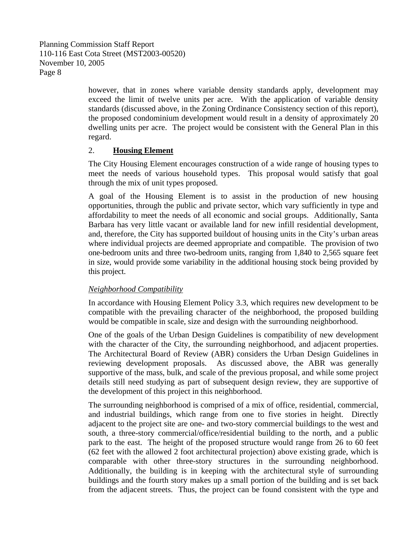> however, that in zones where variable density standards apply, development may exceed the limit of twelve units per acre. With the application of variable density standards (discussed above, in the Zoning Ordinance Consistency section of this report), the proposed condominium development would result in a density of approximately 20 dwelling units per acre. The project would be consistent with the General Plan in this regard.

#### 2. **Housing Element**

The City Housing Element encourages construction of a wide range of housing types to meet the needs of various household types. This proposal would satisfy that goal through the mix of unit types proposed.

A goal of the Housing Element is to assist in the production of new housing opportunities, through the public and private sector, which vary sufficiently in type and affordability to meet the needs of all economic and social groups. Additionally, Santa Barbara has very little vacant or available land for new infill residential development, and, therefore, the City has supported buildout of housing units in the City's urban areas where individual projects are deemed appropriate and compatible. The provision of two one-bedroom units and three two-bedroom units, ranging from 1,840 to 2,565 square feet in size, would provide some variability in the additional housing stock being provided by this project.

#### *Neighborhood Compatibility*

In accordance with Housing Element Policy 3.3, which requires new development to be compatible with the prevailing character of the neighborhood, the proposed building would be compatible in scale, size and design with the surrounding neighborhood.

One of the goals of the Urban Design Guidelines is compatibility of new development with the character of the City, the surrounding neighborhood, and adjacent properties. The Architectural Board of Review (ABR) considers the Urban Design Guidelines in reviewing development proposals. As discussed above, the ABR was generally supportive of the mass, bulk, and scale of the previous proposal, and while some project details still need studying as part of subsequent design review, they are supportive of the development of this project in this neighborhood.

The surrounding neighborhood is comprised of a mix of office, residential, commercial, and industrial buildings, which range from one to five stories in height. Directly adjacent to the project site are one- and two-story commercial buildings to the west and south, a three-story commercial/office/residential building to the north, and a public park to the east. The height of the proposed structure would range from 26 to 60 feet (62 feet with the allowed 2 foot architectural projection) above existing grade, which is comparable with other three-story structures in the surrounding neighborhood. Additionally, the building is in keeping with the architectural style of surrounding buildings and the fourth story makes up a small portion of the building and is set back from the adjacent streets. Thus, the project can be found consistent with the type and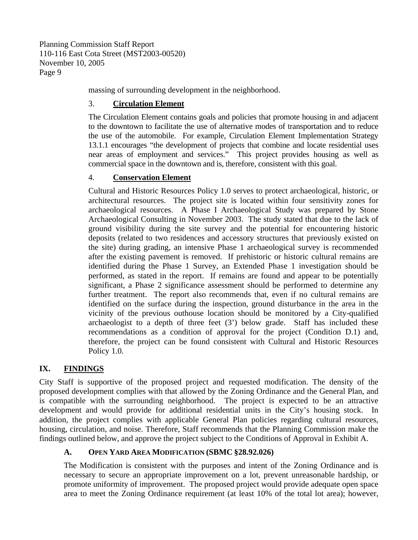massing of surrounding development in the neighborhood.

## 3. **Circulation Element**

The Circulation Element contains goals and policies that promote housing in and adjacent to the downtown to facilitate the use of alternative modes of transportation and to reduce the use of the automobile. For example, Circulation Element Implementation Strategy 13.1.1 encourages "the development of projects that combine and locate residential uses near areas of employment and services." This project provides housing as well as commercial space in the downtown and is, therefore, consistent with this goal.

## 4. **Conservation Element**

Cultural and Historic Resources Policy 1.0 serves to protect archaeological, historic, or architectural resources. The project site is located within four sensitivity zones for archaeological resources. A Phase I Archaeological Study was prepared by Stone Archaeological Consulting in November 2003. The study stated that due to the lack of ground visibility during the site survey and the potential for encountering historic deposits (related to two residences and accessory structures that previously existed on the site) during grading, an intensive Phase 1 archaeological survey is recommended after the existing pavement is removed. If prehistoric or historic cultural remains are identified during the Phase 1 Survey, an Extended Phase 1 investigation should be performed, as stated in the report. If remains are found and appear to be potentially significant, a Phase 2 significance assessment should be performed to determine any further treatment. The report also recommends that, even if no cultural remains are identified on the surface during the inspection, ground disturbance in the area in the vicinity of the previous outhouse location should be monitored by a City-qualified archaeologist to a depth of three feet (3') below grade. Staff has included these recommendations as a condition of approval for the project (Condition D.1) and, therefore, the project can be found consistent with Cultural and Historic Resources Policy 1.0.

# **IX. FINDINGS**

City Staff is supportive of the proposed project and requested modification. The density of the proposed development complies with that allowed by the Zoning Ordinance and the General Plan, and is compatible with the surrounding neighborhood. The project is expected to be an attractive development and would provide for additional residential units in the City's housing stock. In addition, the project complies with applicable General Plan policies regarding cultural resources, housing, circulation, and noise. Therefore, Staff recommends that the Planning Commission make the findings outlined below, and approve the project subject to the Conditions of Approval in Exhibit A.

# **A. OPEN YARD AREA MODIFICATION (SBMC §28.92.026)**

The Modification is consistent with the purposes and intent of the Zoning Ordinance and is necessary to secure an appropriate improvement on a lot, prevent unreasonable hardship, or promote uniformity of improvement. The proposed project would provide adequate open space area to meet the Zoning Ordinance requirement (at least 10% of the total lot area); however,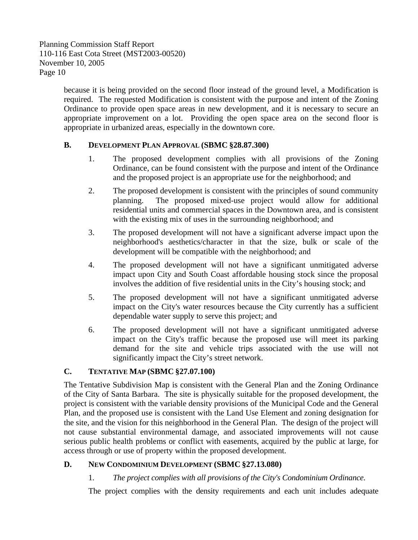> because it is being provided on the second floor instead of the ground level, a Modification is required. The requested Modification is consistent with the purpose and intent of the Zoning Ordinance to provide open space areas in new development, and it is necessary to secure an appropriate improvement on a lot. Providing the open space area on the second floor is appropriate in urbanized areas, especially in the downtown core.

#### **B. DEVELOPMENT PLAN APPROVAL (SBMC §28.87.300)**

- 1. The proposed development complies with all provisions of the Zoning Ordinance, can be found consistent with the purpose and intent of the Ordinance and the proposed project is an appropriate use for the neighborhood; and
- 2. The proposed development is consistent with the principles of sound community planning. The proposed mixed-use project would allow for additional residential units and commercial spaces in the Downtown area, and is consistent with the existing mix of uses in the surrounding neighborhood; and
- 3. The proposed development will not have a significant adverse impact upon the neighborhood's aesthetics/character in that the size, bulk or scale of the development will be compatible with the neighborhood; and
- 4. The proposed development will not have a significant unmitigated adverse impact upon City and South Coast affordable housing stock since the proposal involves the addition of five residential units in the City's housing stock; and
- 5. The proposed development will not have a significant unmitigated adverse impact on the City's water resources because the City currently has a sufficient dependable water supply to serve this project; and
- 6. The proposed development will not have a significant unmitigated adverse impact on the City's traffic because the proposed use will meet its parking demand for the site and vehicle trips associated with the use will not significantly impact the City's street network.

## **C. TENTATIVE MAP (SBMC §27.07.100)**

The Tentative Subdivision Map is consistent with the General Plan and the Zoning Ordinance of the City of Santa Barbara. The site is physically suitable for the proposed development, the project is consistent with the variable density provisions of the Municipal Code and the General Plan, and the proposed use is consistent with the Land Use Element and zoning designation for the site, and the vision for this neighborhood in the General Plan. The design of the project will not cause substantial environmental damage, and associated improvements will not cause serious public health problems or conflict with easements, acquired by the public at large, for access through or use of property within the proposed development.

## **D. NEW CONDOMINIUM DEVELOPMENT (SBMC §27.13.080)**

1. *The project complies with all provisions of the City's Condominium Ordinance.* 

The project complies with the density requirements and each unit includes adequate